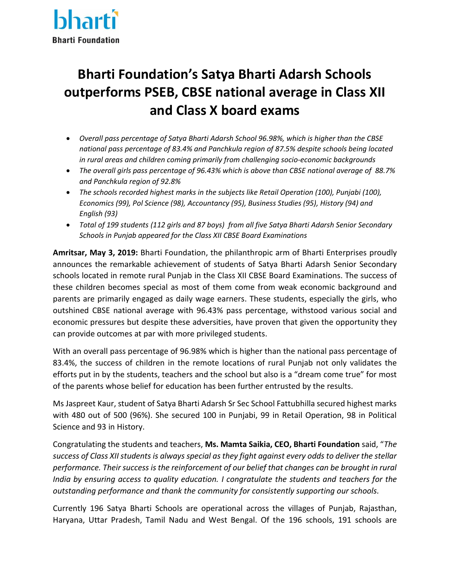

## **Bharti Foundation's Satya Bharti Adarsh Schools outperforms PSEB, CBSE national average in Class XII and Class X board exams**

- *Overall pass percentage of Satya Bharti Adarsh School 96.98%, which is higher than the CBSE national pass percentage of 83.4% and Panchkula region of 87.5% despite schools being located in rural areas and children coming primarily from challenging socio-economic backgrounds*
- *The overall girls pass percentage of 96.43% which is above than CBSE national average of 88.7% and Panchkula region of 92.8%*
- *The schools recorded highest marks in the subjects like Retail Operation (100), Punjabi (100), Economics (99), Pol Science (98), Accountancy (95), Business Studies (95), History (94) and English (93)*
- *Total of 199 students (112 girls and 87 boys) from all five Satya Bharti Adarsh Senior Secondary Schools in Punjab appeared for the Class XII CBSE Board Examinations*

**Amritsar, May 3, 2019:** Bharti Foundation, the philanthropic arm of Bharti Enterprises proudly announces the remarkable achievement of students of Satya Bharti Adarsh Senior Secondary schools located in remote rural Punjab in the Class XII CBSE Board Examinations. The success of these children becomes special as most of them come from weak economic background and parents are primarily engaged as daily wage earners. These students, especially the girls, who outshined CBSE national average with 96.43% pass percentage, withstood various social and economic pressures but despite these adversities, have proven that given the opportunity they can provide outcomes at par with more privileged students.

With an overall pass percentage of 96.98% which is higher than the national pass percentage of 83.4%, the success of children in the remote locations of rural Punjab not only validates the efforts put in by the students, teachers and the school but also is a "dream come true" for most of the parents whose belief for education has been further entrusted by the results.

Ms Jaspreet Kaur, student of Satya Bharti Adarsh Sr Sec School Fattubhilla secured highest marks with 480 out of 500 (96%). She secured 100 in Punjabi, 99 in Retail Operation, 98 in Political Science and 93 in History.

Congratulating the students and teachers, **Ms. Mamta Saikia, CEO, Bharti Foundation** said, "*The success of Class XII students is always special as they fight against every odds to deliver the stellar performance. Their success is the reinforcement of our belief that changes can be brought in rural India by ensuring access to quality education. I congratulate the students and teachers for the outstanding performance and thank the community for consistently supporting our schools.* 

Currently 196 Satya Bharti Schools are operational across the villages of Punjab, Rajasthan, Haryana, Uttar Pradesh, Tamil Nadu and West Bengal. Of the 196 schools, 191 schools are